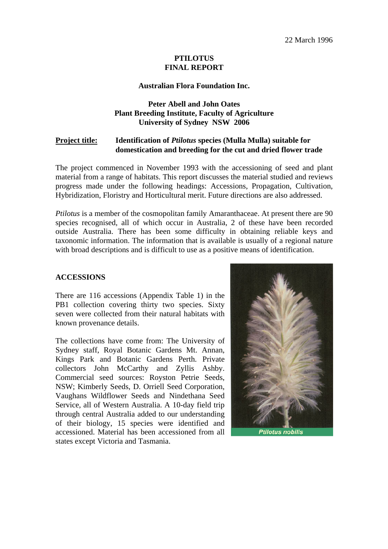## **PTILOTUS FINAL REPORT**

#### **Australian Flora Foundation Inc.**

## **Peter Abell and John Oates Plant Breeding Institute, Faculty of Agriculture University of Sydney NSW 2006**

#### **Project title: Identification of** *Ptilotus* **species (Mulla Mulla) suitable for domestication and breeding for the cut and dried flower trade**

The project commenced in November 1993 with the accessioning of seed and plant material from a range of habitats. This report discusses the material studied and reviews progress made under the following headings: Accessions, Propagation, Cultivation, Hybridization, Floristry and Horticultural merit. Future directions are also addressed.

*Ptilotus* is a member of the cosmopolitan family Amaranthaceae. At present there are 90 species recognised, all of which occur in Australia, 2 of these have been recorded outside Australia. There has been some difficulty in obtaining reliable keys and taxonomic information. The information that is available is usually of a regional nature with broad descriptions and is difficult to use as a positive means of identification.

#### **ACCESSIONS**

There are 116 accessions (Appendix Table 1) in the PB1 collection covering thirty two species. Sixty seven were collected from their natural habitats with known provenance details.

The collections have come from: The University of Sydney staff, Royal Botanic Gardens Mt. Annan, Kings Park and Botanic Gardens Perth. Private collectors John McCarthy and Zyllis Ashby. Commercial seed sources: Royston Petrie Seeds, NSW; Kimberly Seeds, D. Orriell Seed Corporation, Vaughans Wildflower Seeds and Nindethana Seed Service, all of Western Australia. A 10-day field trip through central Australia added to our understanding of their biology, 15 species were identified and accessioned. Material has been accessioned from all states except Victoria and Tasmania.



**Ptilotus nobilis**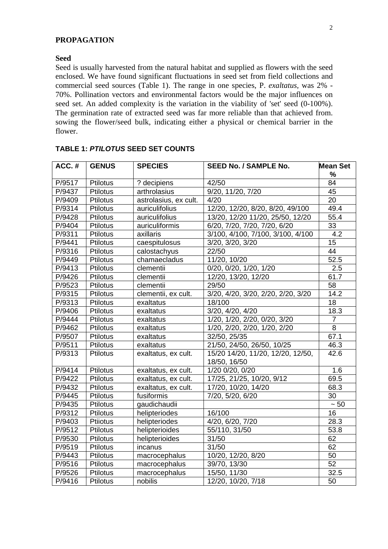#### **PROPAGATION**

#### **Seed**

Seed is usually harvested from the natural habitat and supplied as flowers with the seed enclosed. We have found significant fluctuations in seed set from field collections and commercial seed sources (Table 1). The range in one species, P. *exaltatus,* was 2% - 70%. Pollination vectors and environmental factors would be the major influences on seed set. An added complexity is the variation in the viability of 'set' seed (0-100%). The germination rate of extracted seed was far more reliable than that achieved from. sowing the flower/seed bulk, indicating either a physical or chemical barrier in the flower.

| ACC.#  | <b>GENUS</b>    | <b>SPECIES</b>        | <b>SEED No. / SAMPLE No.</b>                      | <b>Mean Set</b> |
|--------|-----------------|-----------------------|---------------------------------------------------|-----------------|
|        |                 |                       |                                                   | %               |
| P/9517 | Ptilotus        | ? decipiens           | 42/50                                             | 84              |
| P/9437 | <b>Ptilotus</b> | arthrolasius          | 9/20, 11/20, 7/20                                 | $\overline{45}$ |
| P/9409 | Ptilotus        | astrolasius, ex cult. | 4/20                                              | 20              |
| P/9314 | Ptilotus        | auriculifolius        | 12/20, 12/20, 8/20, 8/20, 49/100                  | 49.4            |
| P/9428 | Ptilotus        | auriculifolius        | 13/20, 12/20 11/20, 25/50, 12/20                  | 55.4            |
| P/9404 | Ptilotus        | auriculiformis        | 6/20, 7/20, 7/20, 7/20, 6/20                      | 33              |
| P/9311 | Ptilotus        | axillaris             | 3/100, 4/100, 7/100, 3/100, 4/100                 | 4.2             |
| P/9441 | Ptilotus        | caespitulosus         | 3/20, 3/20, 3/20                                  | 15              |
| P/9316 | Ptilotus        | calostachyus          | 22/50                                             | 44              |
| P/9449 | Ptilotus        | chamaecladus          | 11/20, 10/20                                      | 52.5            |
| P/9413 | Ptilotus        | clementii             | 0/20, 0/20, 1/20, 1/20                            | 2.5             |
| P/9426 | Ptilotus        | clementii             | 12/20, 13/20, 12/20                               | 61.7            |
| P/9523 | Ptilotus        | clementii             | 29/50                                             | 58              |
| P/9315 | Ptilotus        | clementii, ex cult.   | 3/20, 4/20, 3/20, 2/20, 2/20, 3/20                | 14.2            |
| P/9313 | <b>Ptilotus</b> | exaltatus             | 18/100                                            | 18              |
| P/9406 | <b>Ptilotus</b> | exaltatus             | 3/20, 4/20, 4/20                                  | 18.3            |
| P/9444 | <b>Ptilotus</b> | exaltatus             | 1/20, 1/20, 2/20, 0/20, 3/20                      | $\overline{7}$  |
| P/9462 | <b>Ptilotus</b> | exaltatus             | 1/20, 2/20, 2/20, 1/20, 2/20                      | $\overline{8}$  |
| P/9507 | <b>Ptilotus</b> | exaltatus             | 32/50, 25/35                                      | 67.1            |
| P/9511 | Ptilotus        | exaltatus             | 21/50, 24/50, 26/50, 10/25                        | 46.3            |
| P/9313 | <b>Ptilotus</b> | exaltatus, ex cult.   | 15/20 14/20, 11/20, 12/20, 12/50,<br>18/50, 16/50 | 42.6            |
| P/9414 | Ptilotus        | exaltatus, ex cult.   | 1/20 0/20, 0/20                                   | 1.6             |
| P/9422 | Ptilotus        | exaltatus, ex cult.   | 17/25, 21/25, 10/20, 9/12                         | 69.5            |
| P/9432 | <b>Ptilotus</b> | exaltatus, ex cult.   | 17/20, 10/20, 14/20                               | 68.3            |
| P/9445 | <b>Ptilotus</b> | fusiformis            | $\overline{7/20}$ , 5/20, 6/20                    | 30              |
| P/9435 | Ptilotus        | gaudichaudii          |                                                   | $\sim 50$       |
| P/9312 | Ptilotus        | helipteriodes         | 16/100                                            | 16              |
| P/9403 | Ptiiotus        | helipteriodes         | 4/20, 6/20, 7/20                                  | 28.3            |
| P/9512 | <b>Ptilotus</b> | helipterioides        | 55/110, 31/50                                     | 53.8            |
| P/9530 | Ptilotus        | helipterioides        | 31/50                                             | 62              |
| P/9519 | Ptilotus        | incanus               | 31/50                                             | 62              |
| P/9443 | Ptilotus        | macrocephalus         | 10/20, 12/20, 8/20                                | 50              |
| P/9516 | Ptilotus        | macrocephalus         | 39/70, 13/30                                      | $\overline{52}$ |
| P/9526 | Ptilotus        | macrocephalus         | 15/50, 11/30                                      | 32.5            |
| P/9416 | Ptilotus        | nobilis               | 12/20, 10/20, 7/18                                | 50              |

#### **TABLE 1:** *PTILOTUS* **SEED SET COUNTS**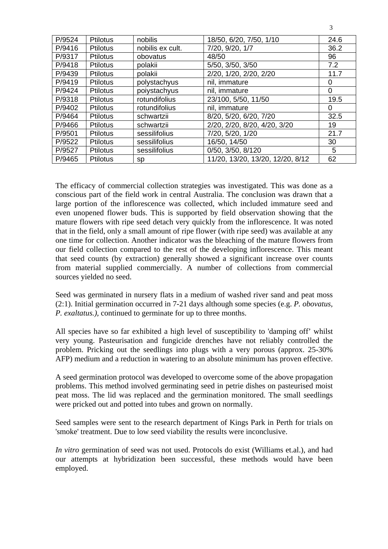| P/9524 | <b>Ptilotus</b> | nobilis          | 18/50, 6/20, 7/50, 1/10          | 24.6 |
|--------|-----------------|------------------|----------------------------------|------|
| P/9416 | Ptilotus        | nobilis ex cult. | 7/20, 9/20, 1/7                  | 36.2 |
| P/9317 | <b>Ptilotus</b> | obovatus         | 48/50                            | 96   |
| P/9418 | <b>Ptilotus</b> | polakii          | 5/50, 3/50, 3/50                 | 7.2  |
| P/9439 | <b>Ptilotus</b> | polakii          | 2/20, 1/20, 2/20, 2/20           | 11.7 |
| P/9419 | <b>Ptilotus</b> | polystachyus     | nil, immature                    | 0    |
| P/9424 | <b>Ptilotus</b> | poiystachyus     | nil, immature                    | 0    |
| P/9318 | <b>Ptilotus</b> | rotundifolius    | 23/100, 5/50, 11/50              | 19.5 |
| P/9402 | <b>Ptilotus</b> | rotundifolius    | nil, immature                    | 0    |
| P/9464 | <b>Ptilotus</b> | schwartzii       | 8/20, 5/20, 6/20, 7/20           | 32.5 |
| P/9466 | <b>Ptilotus</b> | schwartzii       | 2/20, 2/20, 8/20, 4/20, 3/20     | 19   |
| P/9501 | <b>Ptilotus</b> | sessilifolius    | 7/20, 5/20, 1/20                 | 21.7 |
| P/9522 | <b>Ptilotus</b> | sessilifolius    | 16/50, 14/50                     | 30   |
| P/9527 | <b>Ptilotus</b> | sessilifolius    | 0/50, 3/50, 8/120                | 5    |
| P/9465 | <b>Ptilotus</b> | sp               | 11/20, 13/20, 13/20, 12/20, 8/12 | 62   |

3

The efficacy of commercial collection strategies was investigated. This was done as a conscious part of the field work in central Australia. The conclusion was drawn that a large portion of the inflorescence was collected, which included immature seed and even unopened flower buds. This is supported by field observation showing that the mature flowers with ripe seed detach very quickly from the inflorescence. It was noted that in the field, only a small amount of ripe flower (with ripe seed) was available at any one time for collection. Another indicator was the bleaching of the mature flowers from our field collection compared to the rest of the developing inflorescence. This meant that seed counts (by extraction) generally showed a significant increase over counts from material supplied commercially. A number of collections from commercial sources yielded no seed.

Seed was germinated in nursery flats in a medium of washed river sand and peat moss (2:1). Initial germination occurred in 7-21 days although some species (e.g. *P. obovatus, P. exaltatus.),* continued to germinate for up to three months.

All species have so far exhibited a high level of susceptibility to 'damping off' whilst very young. Pasteurisation and fungicide drenches have not reliably controlled the problem. Pricking out the seedlings into plugs with a very porous (approx. 25-30% AFP) medium and a reduction in watering to an absolute minimum has proven effective.

A seed germination protocol was developed to overcome some of the above propagation problems. This method involved germinating seed in petrie dishes on pasteurised moist peat moss. The lid was replaced and the germination monitored. The small seedlings were pricked out and potted into tubes and grown on normally.

Seed samples were sent to the research department of Kings Park in Perth for trials on 'smoke' treatment. Due to low seed viability the results were inconclusive.

*In vitro* germination of seed was not used. Protocols do exist (Williams et.al.), and had our attempts at hybridization been successful, these methods would have been employed.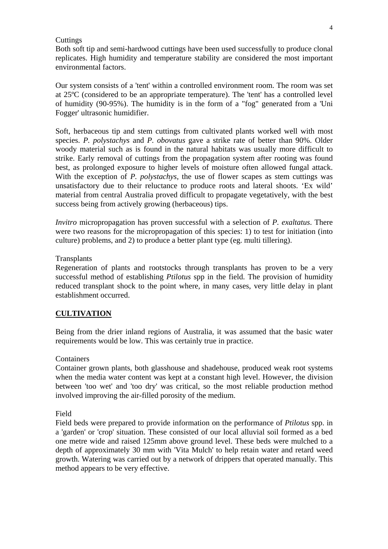## **Cuttings**

Both soft tip and semi-hardwood cuttings have been used successfully to produce clonal replicates. High humidity and temperature stability are considered the most important environmental factors.

Our system consists of a 'tent' within a controlled environment room. The room was set at 25ºC (considered to be an appropriate temperature). The 'tent' has a controlled level of humidity (90-95%). The humidity is in the form of a "fog" generated from a 'Uni Fogger' ultrasonic humidifier.

Soft, herbaceous tip and stem cuttings from cultivated plants worked well with most species. *P. polystachys* and *P. obovatus* gave a strike rate of better than 90%. Older woody material such as is found in the natural habitats was usually more difficult to strike. Early removal of cuttings from the propagation system after rooting was found best, as prolonged exposure to higher levels of moisture often allowed fungal attack. With the exception of *P. polystachys*, the use of flower scapes as stem cuttings was unsatisfactory due to their reluctance to produce roots and lateral shoots. 'Ex wild' material from central Australia proved difficult to propagate vegetatively, with the best success being from actively growing (herbaceous) tips.

*Invitro* micropropagation has proven successful with a selection of *P. exaltatus*. There were two reasons for the micropropagation of this species: 1) to test for initiation (into culture) problems, and 2) to produce a better plant type (eg. multi tillering).

#### **Transplants**

Regeneration of plants and rootstocks through transplants has proven to be a very successful method of establishing *Ptilotus* spp in the field. The provision of humidity reduced transplant shock to the point where, in many cases, very little delay in plant establishment occurred.

#### **CULTIVATION**

Being from the drier inland regions of Australia, it was assumed that the basic water requirements would be low. This was certainly true in practice.

#### Containers

Container grown plants, both glasshouse and shadehouse, produced weak root systems when the media water content was kept at a constant high level. However, the division between 'too wet' and 'too dry' was critical, so the most reliable production method involved improving the air-filled porosity of the medium.

#### Field

Field beds were prepared to provide information on the performance of *Ptilotus* spp. in a 'garden' or 'crop' situation. These consisted of our local alluvial soil formed as a bed one metre wide and raised 125mm above ground level. These beds were mulched to a depth of approximately 30 mm with 'Vita Mulch' to help retain water and retard weed growth. Watering was carried out by a network of drippers that operated manually. This method appears to be very effective.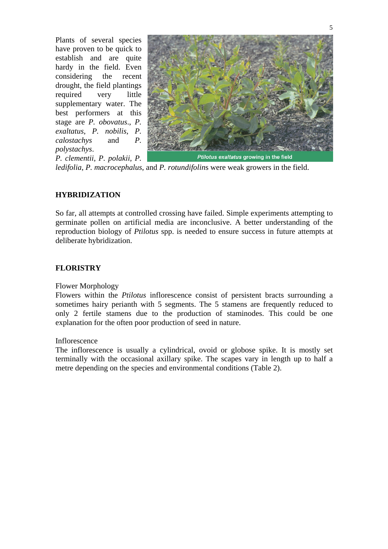Plants of several species have proven to be quick to establish and are quite hardy in the field. Even considering the recent drought, the field plantings required very little supplementary water. The best performers at this stage are *P. obovatus*., *P. exaltatus*, *P. nobilis*, *P. calostachys* and *P. polystachys*. *P. clementii*, *P. polakii*, *P.* 



*ledifolia*, *P. macrocephalus*, and *P. rotundifolin*s were weak growers in the field.

## **HYBRIDIZATION**

So far, all attempts at controlled crossing have failed. Simple experiments attempting to germinate pollen on artificial media are inconclusive. A better understanding of the reproduction biology of *Ptilotus* spp. is needed to ensure success in future attempts at deliberate hybridization.

## **FLORISTRY**

## Flower Morphology

Flowers within the *Ptilotus* inflorescence consist of persistent bracts surrounding a sometimes hairy perianth with 5 segments. The 5 stamens are frequently reduced to only 2 fertile stamens due to the production of staminodes. This could be one explanation for the often poor production of seed in nature.

#### Inflorescence

The inflorescence is usually a cylindrical, ovoid or globose spike. It is mostly set terminally with the occasional axillary spike. The scapes vary in length up to half a metre depending on the species and environmental conditions (Table 2).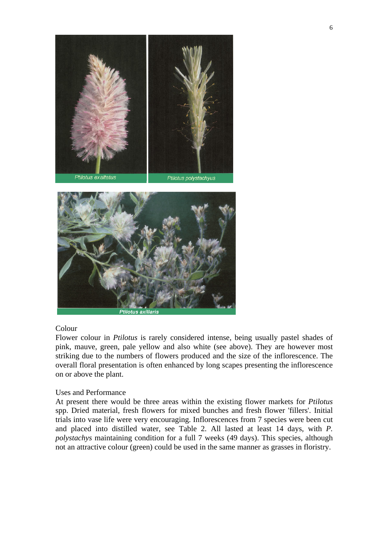



## Colour

Flower colour in *Ptilotus* is rarely considered intense, being usually pastel shades of pink, mauve, green, pale yellow and also white (see above). They are however most striking due to the numbers of flowers produced and the size of the inflorescence. The overall floral presentation is often enhanced by long scapes presenting the inflorescence on or above the plant.

#### Uses and Performance

At present there would be three areas within the existing flower markets for *Ptilotus* spp. Dried material, fresh flowers for mixed bunches and fresh flower 'fillers'. Initial trials into vase life were very encouraging. Inflorescences from 7 species were been cut and placed into distilled water, see Table 2. All lasted at least 14 days, with *P. polystachys* maintaining condition for a full 7 weeks (49 days). This species, although not an attractive colour (green) could be used in the same manner as grasses in floristry.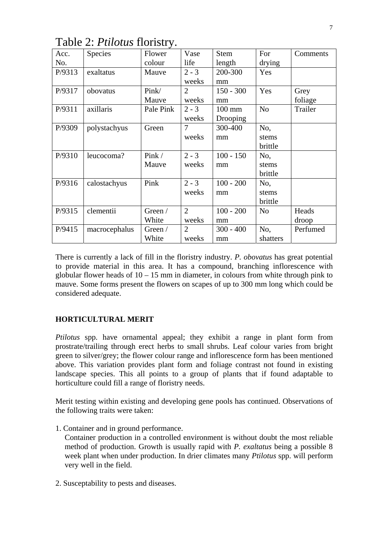| Acc.   | Species       | Flower    | Vase           | <b>Stem</b>      | For            | Comments |
|--------|---------------|-----------|----------------|------------------|----------------|----------|
| No.    |               | colour    | life           | length           | drying         |          |
| P/9313 | exaltatus     | Mauve     | $2 - 3$        | 200-300          | Yes            |          |
|        |               |           | weeks          | mm               |                |          |
| P/9317 | obovatus      | Pink/     | $\overline{2}$ | $150 - 300$      | Yes            | Grey     |
|        |               | Mauve     | weeks          | mm               |                | foliage  |
| P/9311 | axillaris     | Pale Pink | $2 - 3$        | $100 \text{ mm}$ | N <sub>o</sub> | Trailer  |
|        |               |           | weeks          | Drooping         |                |          |
| P/9309 | polystachyus  | Green     | $\overline{7}$ | 300-400          | No,            |          |
|        |               |           | weeks          | mm               | stems          |          |
|        |               |           |                |                  | brittle        |          |
| P/9310 | leucocoma?    | Pink /    | $2 - 3$        | $100 - 150$      | No,            |          |
|        |               | Mauve     | weeks          | mm               | stems          |          |
|        |               |           |                |                  | brittle        |          |
| P/9316 | calostachyus  | Pink      | $2 - 3$        | $100 - 200$      | No,            |          |
|        |               |           | weeks          | mm               | stems          |          |
|        |               |           |                |                  | brittle        |          |
| P/9315 | clementii     | Green /   | $\overline{2}$ | $100 - 200$      | N <sub>o</sub> | Heads    |
|        |               | White     | weeks          | mm               |                | droop    |
| P/9415 | macrocephalus | Green /   | $\overline{2}$ | $300 - 400$      | No,            | Perfumed |
|        |               | White     | weeks          | mm               | shatters       |          |

Table 2: *Ptilotus* floristry.

There is currently a lack of fill in the floristry industry. *P. obovatus* has great potential to provide material in this area. It has a compound, branching inflorescence with globular flower heads of  $10 - 15$  mm in diameter, in colours from white through pink to mauve. Some forms present the flowers on scapes of up to 300 mm long which could be considered adequate.

## **HORTICULTURAL MERIT**

*Ptilotus* spp. have ornamental appeal; they exhibit a range in plant form from prostrate/trailing through erect herbs to small shrubs. Leaf colour varies from bright green to silver/grey; the flower colour range and inflorescence form has been mentioned above. This variation provides plant form and foliage contrast not found in existing landscape species. This all points to a group of plants that if found adaptable to horticulture could fill a range of floristry needs.

Merit testing within existing and developing gene pools has continued. Observations of the following traits were taken:

1. Container and in ground performance.

Container production in a controlled environment is without doubt the most reliable method of production. Growth is usually rapid with *P. exaltatus* being a possible 8 week plant when under production. In drier climates many *Ptilotus* spp. will perform very well in the field.

2. Susceptability to pests and diseases.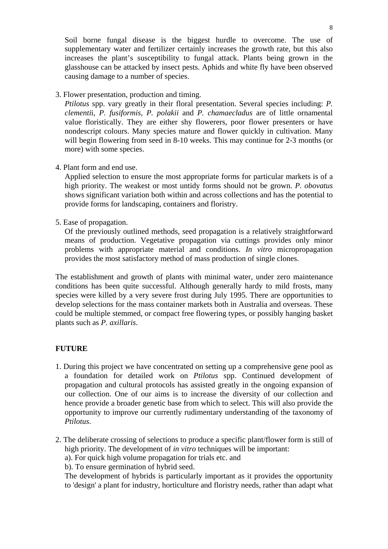Soil borne fungal disease is the biggest hurdle to overcome. The use of supplementary water and fertilizer certainly increases the growth rate, but this also increases the plant's susceptibility to fungal attack. Plants being grown in the glasshouse can be attacked by insect pests. Aphids and white fly have been observed causing damage to a number of species.

3. Flower presentation, production and timing.

*Ptilotus* spp. vary greatly in their floral presentation. Several species including: *P. clementi*i, *P. fusiformis, P. polakii* and *P. chamaecladus* are of little ornamental value floristically. They are either shy flowerers, poor flower presenters or have nondescript colours. Many species mature and flower quickly in cultivation. Many will begin flowering from seed in 8-10 weeks. This may continue for 2-3 months (or more) with some species.

4. Plant form and end use.

Applied selection to ensure the most appropriate forms for particular markets is of a high priority. The weakest or most untidy forms should not be grown. *P. obovatus* shows significant variation both within and across collections and has the potential to provide forms for landscaping, containers and floristry.

5. Ease of propagation.

Of the previously outlined methods, seed propagation is a relatively straightforward means of production. Vegetative propagation via cuttings provides only minor problems with appropriate material and conditions. *In vitro* micropropagation provides the most satisfactory method of mass production of single clones.

The establishment and growth of plants with minimal water, under zero maintenance conditions has been quite successful. Although generally hardy to mild frosts, many species were killed by a very severe frost during July 1995. There are opportunities to develop selections for the mass container markets both in Australia and overseas. These could be multiple stemmed, or compact free flowering types, or possibly hanging basket plants such as *P. axillaris*.

## **FUTURE**

- 1. During this project we have concentrated on setting up a comprehensive gene pool as a foundation for detailed work on *Ptilotus* spp. Continued development of propagation and cultural protocols has assisted greatly in the ongoing expansion of our collection. One of our aims is to increase the diversity of our collection and hence provide a broader genetic base from which to select. This will also provide the opportunity to improve our currently rudimentary understanding of the taxonomy of *Ptilotus*.
- 2. The deliberate crossing of selections to produce a specific plant/flower form is still of high priority. The development of *in vitro* techniques will be important:
	- a). For quick high volume propagation for trials etc. and

b). To ensure germination of hybrid seed.

The development of hybrids is particularly important as it provides the opportunity to 'design' a plant for industry, horticulture and floristry needs, rather than adapt what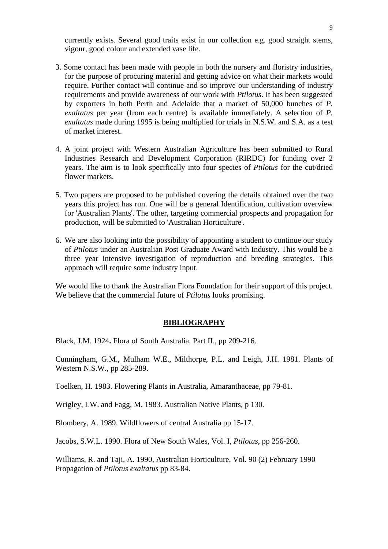currently exists. Several good traits exist in our collection e.g. good straight stems, vigour, good colour and extended vase life.

- 3. Some contact has been made with people in both the nursery and floristry industries, for the purpose of procuring material and getting advice on what their markets would require. Further contact will continue and so improve our understanding of industry requirements and provide awareness of our work with *Ptilotus*. It has been suggested by exporters in both Perth and Adelaide that a market of 50,000 bunches of *P. exaltatus* per year (from each centre) is available immediately. A selection of *P. exaltatus* made during 1995 is being multiplied for trials in N.S.W. and S.A. as a test of market interest.
- 4. A joint project with Western Australian Agriculture has been submitted to Rural Industries Research and Development Corporation (RIRDC) for funding over 2 years. The aim is to look specifically into four species of *Ptilotus* for the cut/dried flower markets.
- 5. Two papers are proposed to be published covering the details obtained over the two years this project has run. One will be a general Identification, cultivation overview for 'Australian Plants'. The other, targeting commercial prospects and propagation for production, will be submitted to 'Australian Horticulture'.
- 6. We are also looking into the possibility of appointing a student to continue our study of *Ptilotus* under an Australian Post Graduate Award with Industry. This would be a three year intensive investigation of reproduction and breeding strategies. This approach will require some industry input.

We would like to thank the Australian Flora Foundation for their support of this project. We believe that the commercial future of *Ptilotus* looks promising.

## **BIBLIOGRAPHY**

Black, J.M. 1924**.** Flora of South Australia. Part II., pp 209-216.

Cunningham, G.M., Mulham W.E., Milthorpe, P.L. and Leigh, J.H. 1981. Plants of Western N.S.W., pp 285-289.

Toelken, H. 1983. Flowering Plants in Australia, Amaranthaceae, pp 79-81.

Wrigley, LW. and Fagg, M. 1983. Australian Native Plants, p 130.

Blombery, A. 1989. Wildflowers of central Australia pp 15-17.

Jacobs, S.W.L. 1990. Flora of New South Wales, Vol. I, *Ptilotus*, pp 256-260.

Williams, R. and Taji, A. 1990, Australian Horticulture, Vol. 90 (2) February 1990 Propagation of *Ptilotus exaltatus* pp 83-84.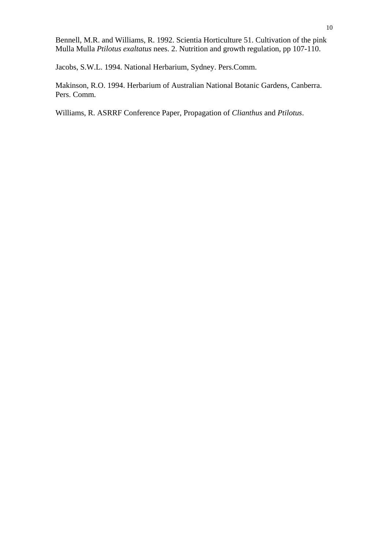Bennell, M.R. and Williams, R. 1992. Scientia Horticulture 51. Cultivation of the pink Mulla Mulla *Ptilotus exaltatus* nees. 2. Nutrition and growth regulation, pp 107-110.

Jacobs, S.W.L. 1994. National Herbarium, Sydney. Pers.Comm.

Makinson, R.O. 1994. Herbarium of Australian National Botanic Gardens, Canberra. Pers. Comm.

Williams, R. ASRRF Conference Paper, Propagation of *Clianthus* and *Ptilotus*.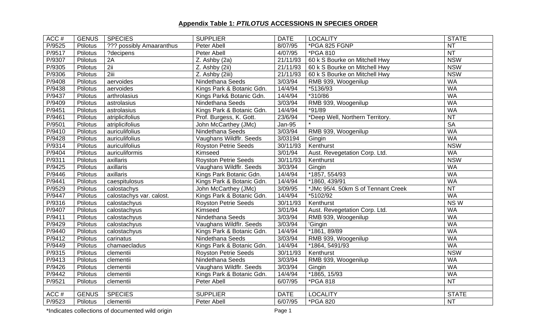| ACC#   | <b>GENUS</b>    | <b>SPECIES</b>           | <b>SUPPLIER</b>             | <b>DATE</b>   | <b>LOCALITY</b>                    | <b>STATE</b>           |
|--------|-----------------|--------------------------|-----------------------------|---------------|------------------------------------|------------------------|
| P/9525 | Ptilotus        | ??? possibly Amaaranthus | Peter Abell                 | 8/07/95       | *PGA 825 FGNP                      | <b>NT</b>              |
| P/9517 | Ptilotus        | ?decipens                | Peter Abell                 | 4/07/95       | <b>*PGA 810</b>                    | <b>NT</b>              |
| P/9307 | <b>Ptilotus</b> | 2A                       | Z. Ashby (2a)               | 21/11/93      | 60 k S Bourke on Mitchell Hwy      | <b>NSW</b>             |
| P/9305 | <b>Ptilotus</b> | 2ii                      | Z. Ashby (2ii)              | 21/11/93      | 60 k S Bourke on Mitchell Hwy      | <b>NSW</b>             |
| P/9306 | <b>Ptilotus</b> | $2$ iii                  | Z. Ashby (2iii)             | 21/11/93      | 60 k S Bourke on Mitchell Hwy      | <b>NSW</b>             |
| P/9408 | Ptilotus        | aervoides                | Nindethana Seeds            | 3/03/94       | RMB 939, Woogenilup                | <b>WA</b>              |
| P/9438 | Ptilotus        | aervoides                | Kings Park & Botanic Gdn.   | 14/4/94       | *5136/93                           | <b>WA</b>              |
| P/9437 | Ptilotus        | arthrolasius             | Kings Park& Botanic Gdn.    | 14/4/94       | *310/86                            | <b>WA</b>              |
| P/9409 | Ptilotus        | astrolasius              | Nindethana Seeds            | 3/03/94       | RMB 939, Woogenilup                | <b>WA</b>              |
| P/9451 | <b>Ptilotus</b> | astrolasius              | Kings Park & Botanic Gdn.   | 14/4/94       | $*91/89$                           | <b>WA</b>              |
| P/9461 | Ptilotus        | atriplicifolius          | Prof. Burgess, K. Gott.     | 23/6/94       | *Deep Well, Northern Territory.    | $\overline{\text{NT}}$ |
| P/9501 | Ptilotus        | atriplicifolius          | John McCarthey (JMc)        | <b>Jan-95</b> |                                    | <b>SA</b>              |
| P/9410 | Ptilotus        | auriculifolius           | Nindethana Seeds            | 3/03/94       | RMB 939, Woogenilup                | <b>WA</b>              |
| P/9428 | Ptilotus        | auriculifolius           | Vaughans Wildflr. Seeds     | 3/03194       | Gingin                             | <b>WA</b>              |
| P/9314 | Ptilotus        | auriculifolius           | <b>Royston Petrie Seeds</b> | 30/11/93      | Kenthurst                          | <b>NSW</b>             |
| P/9404 | Ptilotus        | auriculiformis           | Kimseed                     | 3/01/94       | Aust. Revegetation Corp. Ltd.      | <b>WA</b>              |
| P/9311 | Ptilotus        | axillaris                | <b>Royston Petrie Seeds</b> | 30/11/93      | Kenthurst                          | <b>NSW</b>             |
| P/9425 | <b>Ptilotus</b> | axillaris                | Vaughans Wildflr. Seeds     | 3/03/94       | Gingin                             | <b>WA</b>              |
| P/9446 | <b>Ptilotus</b> | axillaris                | Kings Park Botanic Gdn.     | 14/4/94       | *1857, 554/93                      | <b>WA</b>              |
| P/9441 | <b>Ptilotus</b> | caespitulosus            | Kings Park & Botanic Gdn.   | 14/4/94       | *1860, 439/91                      | <b>WA</b>              |
| P/9529 | <b>Ptilotus</b> | calostachys              | John McCarthey (JMc)        | 3/09/95       | *JMc 95/4. 50km S of Tennant Creek | <b>NT</b>              |
| P/9447 | <b>Ptilotus</b> | calostachys var. calost. | Kings Park & Botanic Gdn.   | 14/4/94       | *5102/92                           | <b>WA</b>              |
| P/9316 | <b>Ptilotus</b> | calostachyus             | <b>Royston Petrie Seeds</b> | 30/11/93      | Kenthurst                          | NSW                    |
| P/9407 | Ptilotus        | calostachyus             | Kimseed                     | 3/01/94       | Aust. Revegetation Corp. Ltd.      | <b>WA</b>              |
| P/9411 | Ptilotus        | calostachyus             | Nindethana Seeds            | 3/03/94       | RMB 939, Woogenilup                | <b>WA</b>              |
| P/9429 | Ptilotus        | calostachyus             | Vaughans Wildflr. Seeds     | 3/03/94       | 'Gingin                            | <b>WA</b>              |
| P/9440 | Ptilotus        | calostachyus             | Kings Park & Botanic Gdn.   | 14/4/94       | *1861, 89/89                       | <b>WA</b>              |
| P/9412 | Ptilotus        | carinatus                | Nindethana Seeds            | 3/03/94       | RMB 939, Woogenilup                | <b>WA</b>              |
| P/9449 | Ptilotus        | chamaecladus             | Kings Park & Botanic Gdn.   | 14/4/94       | *1864, 5491/93                     | <b>WA</b>              |
| P/9315 | Ptilotus        | clementii                | <b>Royston Petrie Seeds</b> | 30/11/93      | Kenthurst                          | <b>NSW</b>             |
| P/9413 | Ptilotus        | clementii                | Nindethana Seeds            | 3/03/94       | RMB 939, Woogenilup                | <b>WA</b>              |
| P/9426 | Ptilotus        | clementii                | Vaughans Wildflr. Seeds     | 3/03/94       | Gingin                             | <b>WA</b>              |
| P/9442 | Ptilotus        | clementii                | Kings Park & Botanic Gdn.   | 14/4/94       | *1865, 15/93                       | <b>WA</b>              |
| P/9521 | Ptilotus        | clementii                | Peter Abell                 | 6/07/95       | *PGA 818                           | NT                     |
|        |                 |                          |                             |               |                                    |                        |
| ACC#   | <b>GENUS</b>    | <b>SPECIES</b>           | <b>SUPPLIER</b>             | <b>DATE</b>   | <b>LOCALITY</b>                    | <b>STATE</b>           |
| P/9523 | <b>Ptilotus</b> | clementii                | Peter Abell                 | 6/07/95       | *PGA 820                           | <b>NT</b>              |

\*Indicates collections of documented wild origin example and the collections of documented wild origin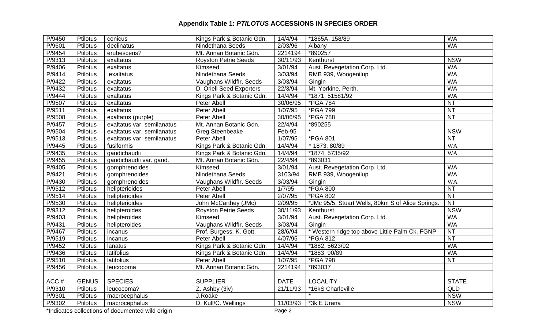| P/9450 | Ptilotus        | conicus                    | Kings Park & Botanic Gdn.    | 14/4/94     | *1865A, 158/89                                    | <b>WA</b>              |
|--------|-----------------|----------------------------|------------------------------|-------------|---------------------------------------------------|------------------------|
| P/9601 | Ptilotus        | declinatus                 | Nindethana Seeds             | 2/03/96     | Albany                                            | <b>WA</b>              |
| P/9454 | Ptilotus        | erubescens?                | Mt. Annan Botanic Gdn.       | 2214194     | *890257                                           |                        |
| P/9313 | Ptilotus        | exaltatus                  | <b>Royston Petrie Seeds</b>  | 30/11/93    | Kenthurst                                         | <b>NSW</b>             |
| P/9406 | Ptilotus        | exaltatus                  | Kimseed                      | 3/01/94     | Aust. Revegetation Corp. Ltd.                     | <b>WA</b>              |
| P/9414 | Ptilotus        | exaltatus                  | Nindethana Seeds             | 3/03/94     | RMB 939, Woogenilup                               | <b>WA</b>              |
| P/9422 | Ptilotus        | exaltatus                  | Vaughans Wildflr. Seeds      | 3/03/94     | Gingin                                            | <b>WA</b>              |
| P/9432 | Ptilotus        | exaltatus                  | D. Oriell Seed Exporters     | 22/3/94     | Mt. Yorkine, Perth.                               | <b>WA</b>              |
| P/9444 | Ptilotus        | exaltatus                  | Kings Park & Botanic Gdn.    | 14/4/94     | *1871, 51581/92                                   | <b>WA</b>              |
| P/9507 | Ptilotus        | exaltatus                  | Peter Abell                  | 30/06/95    | *PGA 784                                          | NT                     |
| P/9511 | Ptilotus        | exaltatus                  | Peter Abell                  | 1/07/95     | *PGA 799                                          | <b>NT</b>              |
| P/9508 | Ptilotus        | exaltatus (purple)         | Peter Abell                  | 30/06/95    | <b>*PGA 788</b>                                   | <b>NT</b>              |
| P/9457 | Ptilotus        | exaltatus var. semilanatus | Mt. Annan Botanic Gdn.       | 22/4/94     | *890255                                           |                        |
| P/9504 | Ptilotus        | exaltatus var. semilanatus | <b>Greg Steenbeake</b>       | Feb-95      |                                                   | <b>NSW</b>             |
| P/9513 | Ptilotus        | exaltatus var. semilanatus | Peter Abell                  | 1/07/95     | *PGA 801                                          | <b>NT</b>              |
| P/9445 | Ptilotus        | fusiformis                 | Kings Park & Botanic Gdn.    | 14/4/94     | * 1873, 80/89                                     | <b>WA</b>              |
| P/9435 | Ptilotus        | gaudichaudii               | Kings Park & Botanic Gdn.    | 14/4/94     | *1874, 5735/92                                    | <b>WA</b>              |
| P/9455 | Ptilotus        | gaudichaudii var. gaud.    | Mt. Annan Botanic Gdn.       | 22/4/94     | *893031                                           |                        |
| P/9405 | Ptilotus        | gomphrenoides              | Kimseed                      | 3/01/94     | Aust. Revegetation Corp. Ltd.                     | <b>WA</b>              |
| P/9421 | Ptilotus        | gomphrenoides              | Nindethana Seeds             | 3103/94     | RMB 939, Woogenilup                               | <b>WA</b>              |
| P/9430 | Ptilotus        | gomphrenoides              | Vaughans Wildflr. Seeds      | 3/03/94     | Gingin                                            | <b>WA</b>              |
| P/9512 | Ptilotus        | helipterioides             | Peter Abell                  | 1/7/95      | *PGA 800                                          | NT                     |
| P/9514 | Ptilotus        | helipterioides             | Peter Abell                  | 2/07/95     | *PGA 802                                          | NT                     |
| P/9530 | Ptilotus        | helipterioides             | John McCarthey (JMc)         | 2/09/95     | *JMc 95/5. Stuart Wells, 80km S of Alice Springs. | NT                     |
| P/9312 | Ptilotus        | helipteroides              | <b>Royston Petrie Seeds</b>  | 30/11/93    | Kenthurst                                         | <b>NSW</b>             |
| P/9403 | Ptilotus        | helipteroides              | Kimseed                      | 3/01/94     | Aust. Revegetation Corp. Ltd.                     | <b>WA</b>              |
| P/9431 | Ptilotus        | helipteroides              | Vaughans Wildflr. Seeds      | 3/03/94     | Gingin                                            | WA                     |
| P/9467 | Ptilotus        | incanus                    | Prof. Burgess, K. Gott.      | 28/6/94     | * Western ridge top above Little Palm Ck. FGNP    | $\overline{\text{NT}}$ |
| P/9519 | Ptilotus        | incanus                    | Peter Abell                  | 4/07/95     | *PGA 812                                          | $\overline{NT}$        |
| P/9452 | Ptilotus        | lanatus                    | Kings Park & Botanic Gdn.    | 14/4/94     | *1882, 5623/92                                    | <b>WA</b>              |
| P/9436 | Ptilotus        | latifolius                 | Kings Park & Botanic Gdn.    | 14/4/94     | *1883, 90/89                                      | <b>WA</b>              |
| P/9510 | Ptilotus        | latifolius                 | Peter Abell                  | 1/07/95     | *PGA 798                                          | <b>NT</b>              |
| P/9456 | <b>Ptilotus</b> | leucocoma                  | Mt. Annan Botanic Gdn.       | 2214194     | *893037                                           |                        |
|        |                 |                            |                              |             |                                                   |                        |
| ACC#   | <b>GENUS</b>    | <b>SPECIES</b>             | <b>SUPPLIER</b>              | <b>DATE</b> | <b>LOCALITY</b>                                   | <b>STATE</b>           |
| P/9310 | Ptilotus        | leucocoma?                 | $\overline{Z}$ . Ashby (3iv) | 21/11/93    | *16kS Charleville                                 | QLD                    |
| P/9301 | Ptilotus        | macrocephalus              | J.Roake                      |             |                                                   | <b>NSW</b>             |
| P/9302 | Ptilotus        | macrocephalus              | D. Kull/C. Wellings          | 11/03/93    | *3k E Urana                                       | <b>NSW</b>             |

\*Indicates collections of documented wild origin example and a set of the Page 2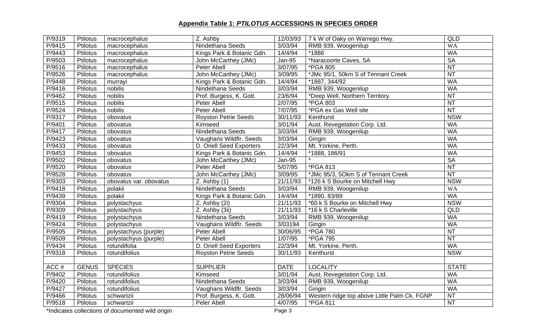| P/9319 | Ptilotus        | macrocephalus          | Z. Ashby                    | 12/03/93      | 7 k W of Oaky on Warrego Hwy.                | <b>QLD</b>      |
|--------|-----------------|------------------------|-----------------------------|---------------|----------------------------------------------|-----------------|
| P/9415 | Ptilotus        | macrocephalus          | Nindethana Seeds            | 3/03/94       | RMB 939, Woogenilup                          | <b>WA</b>       |
| P/9443 | <b>Ptilotus</b> | macrocephalus          | Kings Park & Botanic Gdn.   | 14/4/94       | *1886                                        | <b>WA</b>       |
| P/9503 | Ptilotus        | macrocephalus          | John McCarthey (JMc)        | <b>Jan-95</b> | *Naracoorte Caves, SA                        | <b>SA</b>       |
| P/9516 | Ptilotus        | macrocephalus          | Peter Abell                 | 3/07/95       | *PGA 805                                     | $\overline{NT}$ |
| P/9526 | Ptilotus        | macrocephalus          | John McCarthey (JMc)        | 3/09/95       | *JMc 95/1, 50km S of Tennant Creek           | $\overline{NT}$ |
| P/9448 | <b>Ptilotus</b> | murrayi                | Kings Park & Botanic Gdn.   | 14/4/94       | *1887, 344/92                                | <b>WA</b>       |
| P/9416 | Ptilotus        | nobilis                | Nindethana Seeds            | 3/03/94       | RMB 939, Woogenilup                          | <b>WA</b>       |
| P/9462 | Ptilotus        | nobilis                | Prof. Burgess, K. Gott.     | 23/6/94       | *Deep Well, Northern Territory.              | <b>NT</b>       |
| P/9515 | Ptilotus        | nobilis                | Peter Abell                 | 2/07/95       | *PGA 803                                     | <b>NT</b>       |
| P/9524 | Ptilotus        | nobilis                | Peter Abell                 | 7/07/95       | *PGA ex Gas Well site                        | NT              |
| P/9317 | Ptilotus        | obovatus               | <b>Royston Petrie Seeds</b> | 30/11/93      | Kenthurst                                    | <b>NSW</b>      |
| P/9401 | <b>Ptilotus</b> | obovatus               | Kimseed                     | 3/01/94       | Aust. Revegetation Corp. Ltd.                | <b>WA</b>       |
| P/9417 | Ptilotus        | obovatus               | Nindethana Seeds            | 3/03/94       | RMB 939, Woogenilup                          | <b>WA</b>       |
| P/9423 | Ptilotus        | obovatus               | Vaughans Wildflr. Seeds     | 3/03/94       | Gingin                                       | <b>WA</b>       |
| P/9433 | Ptilotus        | obovatus               | D. Oriell Seed Exporters    | 22/3/94       | Mt. Yorkine, Perth.                          | <b>WA</b>       |
| P/9453 | Ptilotus        | obovatus               | Kings Park & Botanic Gdn.   | 14/4/94       | *1888, 186/91                                | <b>WA</b>       |
| P/9502 | Ptilotus        | obovatus               | John McCarthey (JMc)        | <b>Jan-95</b> |                                              | SA              |
| P/9520 | Ptilotus        | obovatus               | Peter Abell                 | 5/07/95       | *PGA 813                                     | $\overline{NT}$ |
| P/9528 | <b>Ptilotus</b> | obovatus               | John McCarthey (JMc)        | 3/09/95       | *JMc 95/3, 5Okm S of Tennant Creek           | <b>NT</b>       |
| P/9303 | Ptilotus        | obovatus var. obovatus | $Z.$ Ashby $(1)$            | 21/11/93      | *126 k S Bourke on Mitchell Hwy              | <b>NSW</b>      |
| P/9418 | Ptilotus        | polakii                | Nindethana Seeds            | 3/03/94       | RMB 939, Woogenilup                          | <b>WA</b>       |
| P/9439 | Ptilotus        | polakii                | Kings Park & Botanic Gdn.   | 14/4/94       | *1890, 83/89                                 | <b>WA</b>       |
| P/9304 | Ptilotus        | polystachyus           | Z. Ashby (2i)               | 21/11/93      | *60 k S Bourke on Mitchell Hwy               | <b>NSW</b>      |
| P/9309 | Ptilotus        | polystachyus           | Z. Ashby (3ii)              | 21/11/93      | *16 k S Charleville                          | QLD             |
| P/9419 | Ptilotus        | polystachyus           | Nindethana Seeds            | 3/03/94       | RMB 939, Woogenilup                          | <b>WA</b>       |
| P/9424 | Ptilotus        | polystachyus           | Vaughans Wildflr. Seeds     | 3/03194       | Gingin                                       | <b>WA</b>       |
| P/9505 | Ptilotus        | polystachyus (purple)  | Peter Abell                 | 30/06/95      | *PGA 780                                     | <b>NT</b>       |
| P/9509 | Ptilotus        | polystachyus (purple)  | Peter Abell                 | 1/07/95       | *PGA 795                                     | NT              |
| P/9434 | Ptilotus        | rotundifolia           | D. Oriell Seed Exporters    | 22/3/94       | Mt. Yorkine, Perth.                          | <b>WA</b>       |
| P/9318 | <b>Ptilotus</b> | rotundifolius          | <b>Royston Petrie Seeds</b> | 30/11/93      | Kenthurst                                    | <b>NSW</b>      |
|        |                 |                        |                             |               |                                              |                 |
| ACC#   | <b>GENUS</b>    | <b>SPECIES</b>         | <b>SUPPLIER</b>             | <b>DATE</b>   | <b>LOCALITY</b>                              | <b>STATE</b>    |
| P/9402 | Ptilotus        | rotundifolius          | Kimseed                     | 3/01/94       | Aust. Revegetation Corp. Ltd.                | <b>WA</b>       |
| P/9420 | <b>Ptilotus</b> | rotundifolius          | Nindethana Seeds            | 3/03/94       | RMB 939, Woogenilup                          | <b>WA</b>       |
| P/9427 | Ptilotus        | rotundifolius          | Vaughans Wildflr. Seeds     | 3/03/94       | Gingin                                       | <b>WA</b>       |
| P/9466 | Ptilotus        | schwartzii             | Prof. Burgess, K. Gott.     | 28/06/94      | Western ridge top above Little Palm Ck. FGNP | <b>NT</b>       |
| P/9518 | Ptilotus        | schwartzii             | Peler Abell                 | 4/07/95       | *PGA 811                                     | <b>NT</b>       |

\*Indicates collections of documented wild origin example and a set of the Page 3